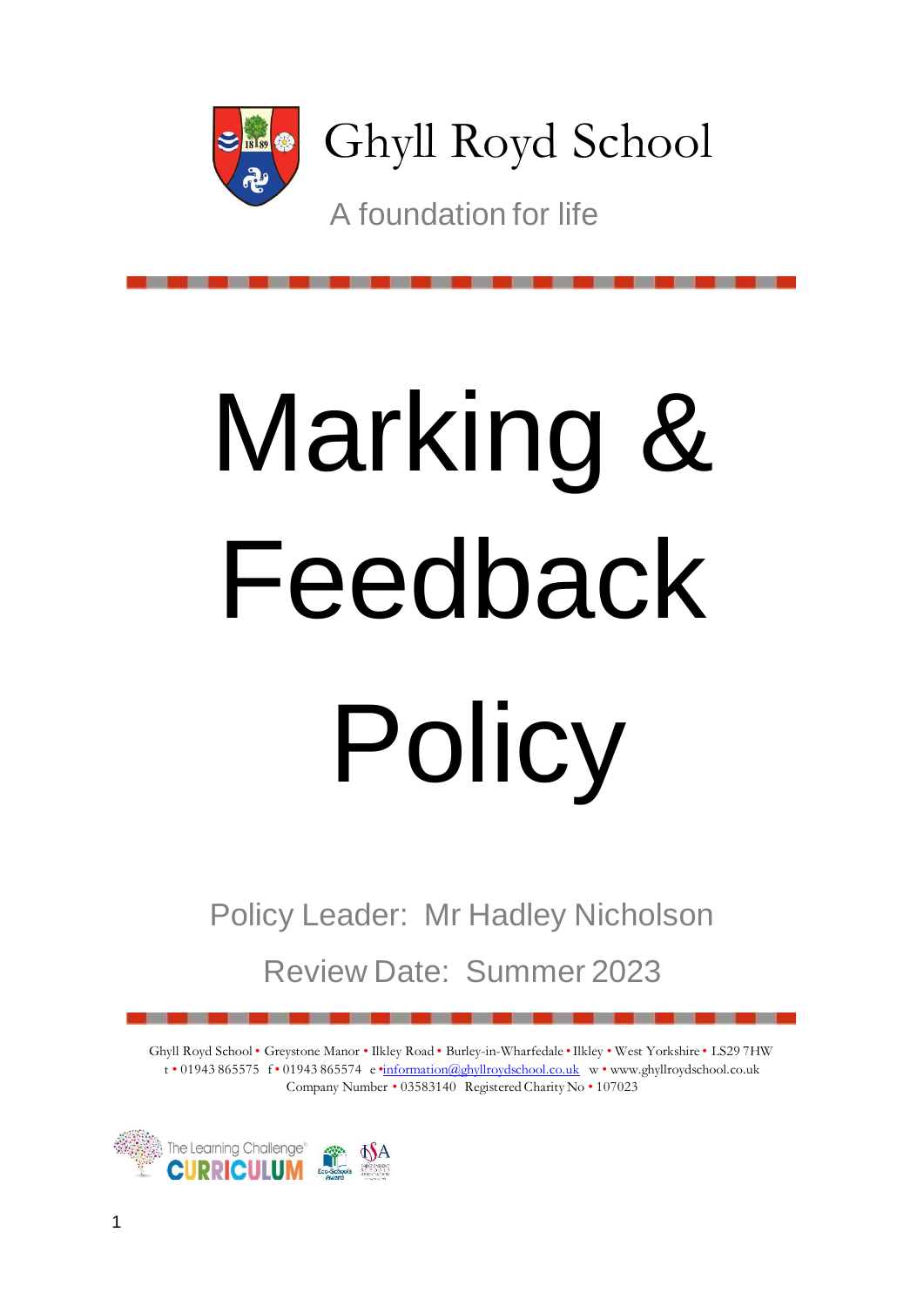

Ghyll Royd School

A foundation for life

# Marking & Feedback Policy

Policy Leader: Mr Hadley Nicholson

Review Date: Summer 2023

Ghyll Royd School • Greystone Manor • Ilkley Road • Burley-in-Wharfedale •Ilkley • West Yorkshire • LS29 7HW t • 01943 865575 f • 01943 865574 e •information@ghyllroydschool.co.uk w • www.ghyllroydschool.co.uk Company Number • 03583140 Registered Charity No • 107023

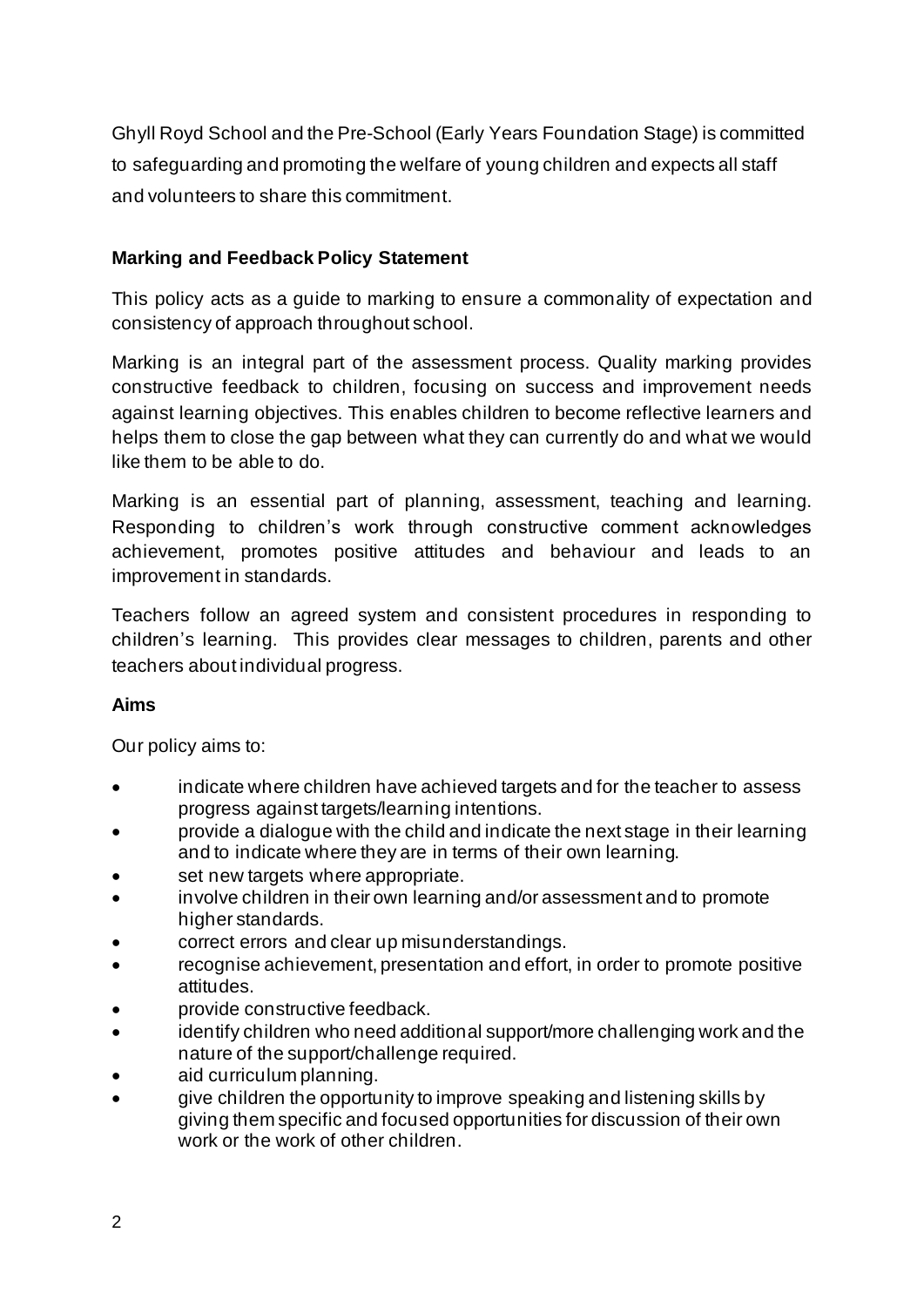Ghyll Royd School and the Pre-School (Early Years Foundation Stage) is committed to safeguarding and promoting the welfare of young children and expects all staff and volunteers to share this commitment.

# **Marking and Feedback Policy Statement**

This policy acts as a guide to marking to ensure a commonality of expectation and consistency of approach throughout school.

Marking is an integral part of the assessment process. Quality marking provides constructive feedback to children, focusing on success and improvement needs against learning objectives. This enables children to become reflective learners and helps them to close the gap between what they can currently do and what we would like them to be able to do.

Marking is an essential part of planning, assessment, teaching and learning. Responding to children's work through constructive comment acknowledges achievement, promotes positive attitudes and behaviour and leads to an improvement in standards.

Teachers follow an agreed system and consistent procedures in responding to children's learning. This provides clear messages to children, parents and other teachers about individual progress.

# **Aims**

Our policy aims to:

- indicate where children have achieved targets and for the teacher to assess progress against targets/learning intentions.
- provide a dialogue with the child and indicate the next stage in their learning and to indicate where they are in terms of their own learning.
- set new targets where appropriate.
- involve children in their own learning and/or assessment and to promote higher standards.
- correct errors and clear up misunderstandings.
- recognise achievement, presentation and effort, in order to promote positive attitudes.
- provide constructive feedback.
- identify children who need additional support/more challenging work and the nature of the support/challenge required.
- aid curriculum planning.
- give children the opportunity to improve speaking and listening skills by giving them specific and focused opportunities for discussion of their own work or the work of other children.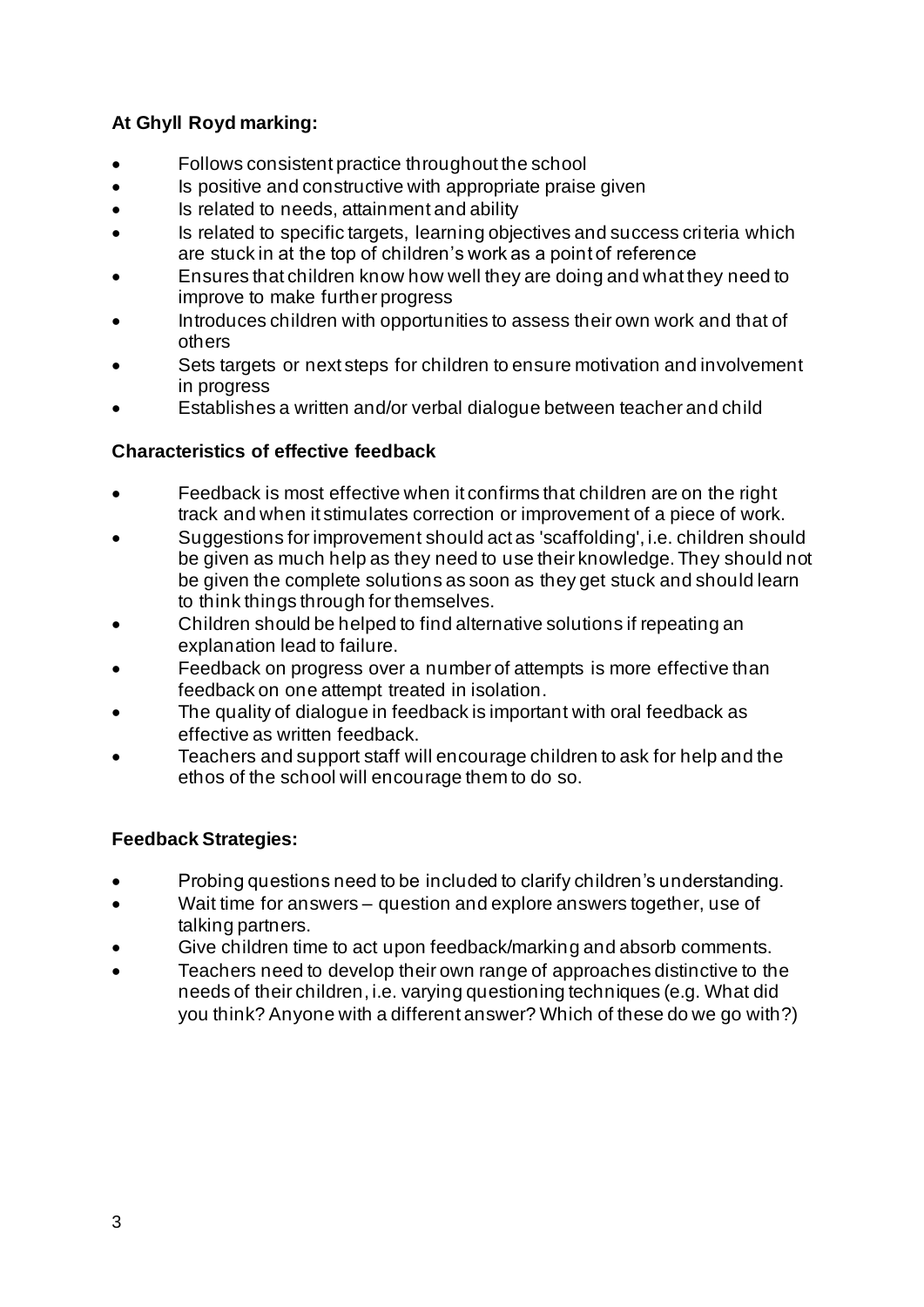# **At Ghyll Royd marking:**

- Follows consistent practice throughout the school
- Is positive and constructive with appropriate praise given
- Is related to needs, attainment and ability
- Is related to specific targets, learning objectives and success criteria which are stuck in at the top of children's work as a point of reference
- Ensures that children know how well they are doing and what they need to improve to make further progress
- Introduces children with opportunities to assess their own work and that of others
- Sets targets or next steps for children to ensure motivation and involvement in progress
- Establishes a written and/or verbal dialogue between teacher and child

# **Characteristics of effective feedback**

- Feedback is most effective when it confirms that children are on the right track and when it stimulates correction or improvement of a piece of work.
- Suggestions for improvement should act as 'scaffolding', i.e. children should be given as much help as they need to use their knowledge. They should not be given the complete solutions as soon as they get stuck and should learn to think things through for themselves.
- Children should be helped to find alternative solutions if repeating an explanation lead to failure.
- Feedback on progress over a number of attempts is more effective than feedback on one attempt treated in isolation.
- The quality of dialogue in feedback is important with oral feedback as effective as written feedback.
- Teachers and support staff will encourage children to ask for help and the ethos of the school will encourage them to do so.

# **Feedback Strategies:**

- Probing questions need to be included to clarify children's understanding.
- Wait time for answers question and explore answers together, use of talking partners.
- Give children time to act upon feedback/marking and absorb comments.
- Teachers need to develop their own range of approaches distinctive to the needs of their children, i.e. varying questioning techniques (e.g. What did you think? Anyone with a different answer? Which of these do we go with?)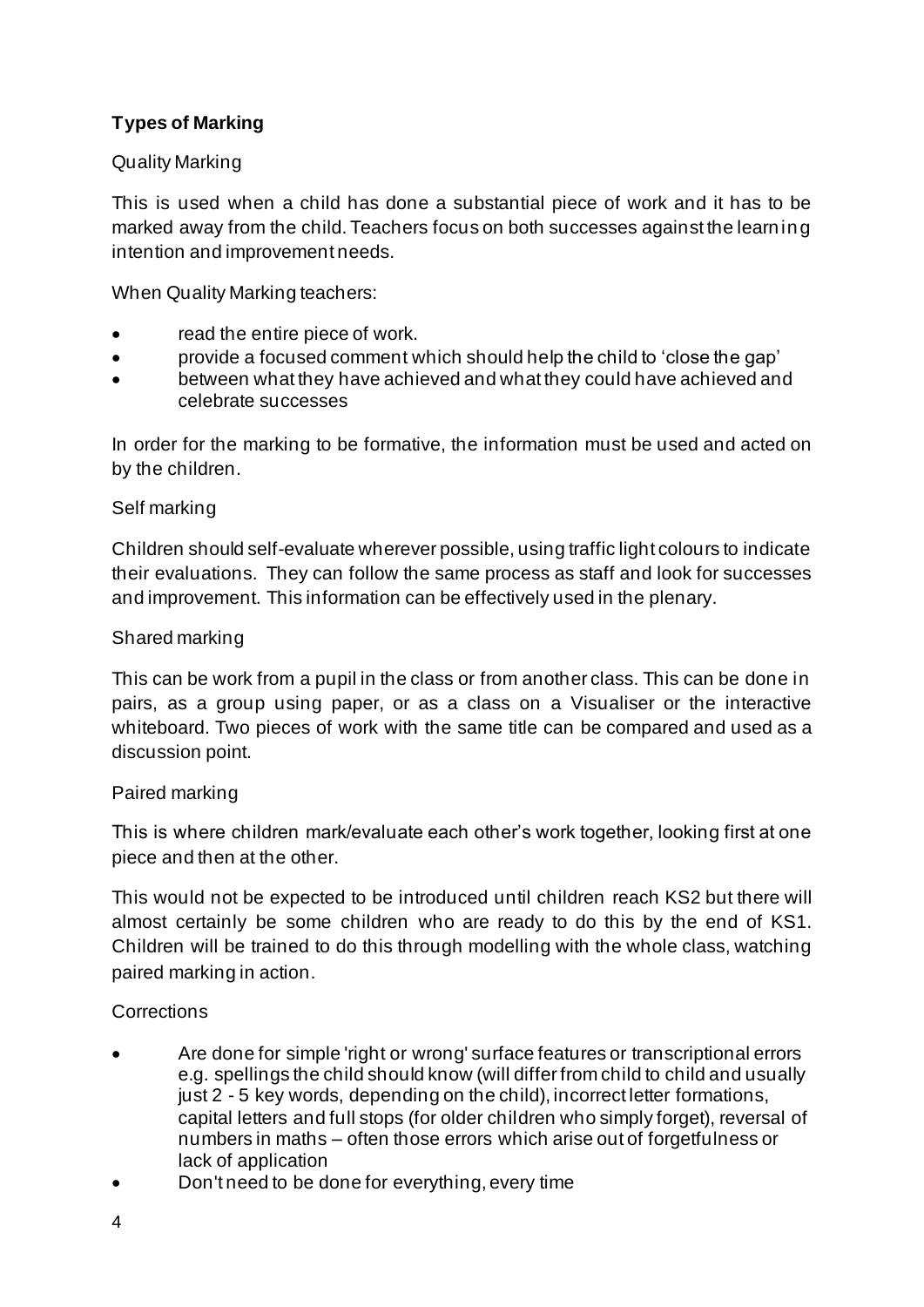# **Types of Marking**

### Quality Marking

This is used when a child has done a substantial piece of work and it has to be marked away from the child. Teachers focus on both successes against the learning intention and improvement needs.

When Quality Marking teachers:

- read the entire piece of work.
- provide a focused comment which should help the child to 'close the gap'
- between what they have achieved and what they could have achieved and celebrate successes

In order for the marking to be formative, the information must be used and acted on by the children.

### Self marking

Children should self-evaluate wherever possible, using traffic light colours to indicate their evaluations. They can follow the same process as staff and look for successes and improvement. This information can be effectively used in the plenary.

### Shared marking

This can be work from a pupil in the class or from another class. This can be done in pairs, as a group using paper, or as a class on a Visualiser or the interactive whiteboard. Two pieces of work with the same title can be compared and used as a discussion point.

### Paired marking

This is where children mark/evaluate each other's work together, looking first at one piece and then at the other.

This would not be expected to be introduced until children reach KS2 but there will almost certainly be some children who are ready to do this by the end of KS1. Children will be trained to do this through modelling with the whole class, watching paired marking in action.

# **Corrections**

- Are done for simple 'right or wrong' surface features or transcriptional errors e.g. spellings the child should know (will differ from child to child and usually just 2 - 5 key words, depending on the child), incorrect letter formations, capital letters and full stops (for older children who simply forget), reversal of numbers in maths – often those errors which arise out of forgetfulness or lack of application
- Don't need to be done for everything, every time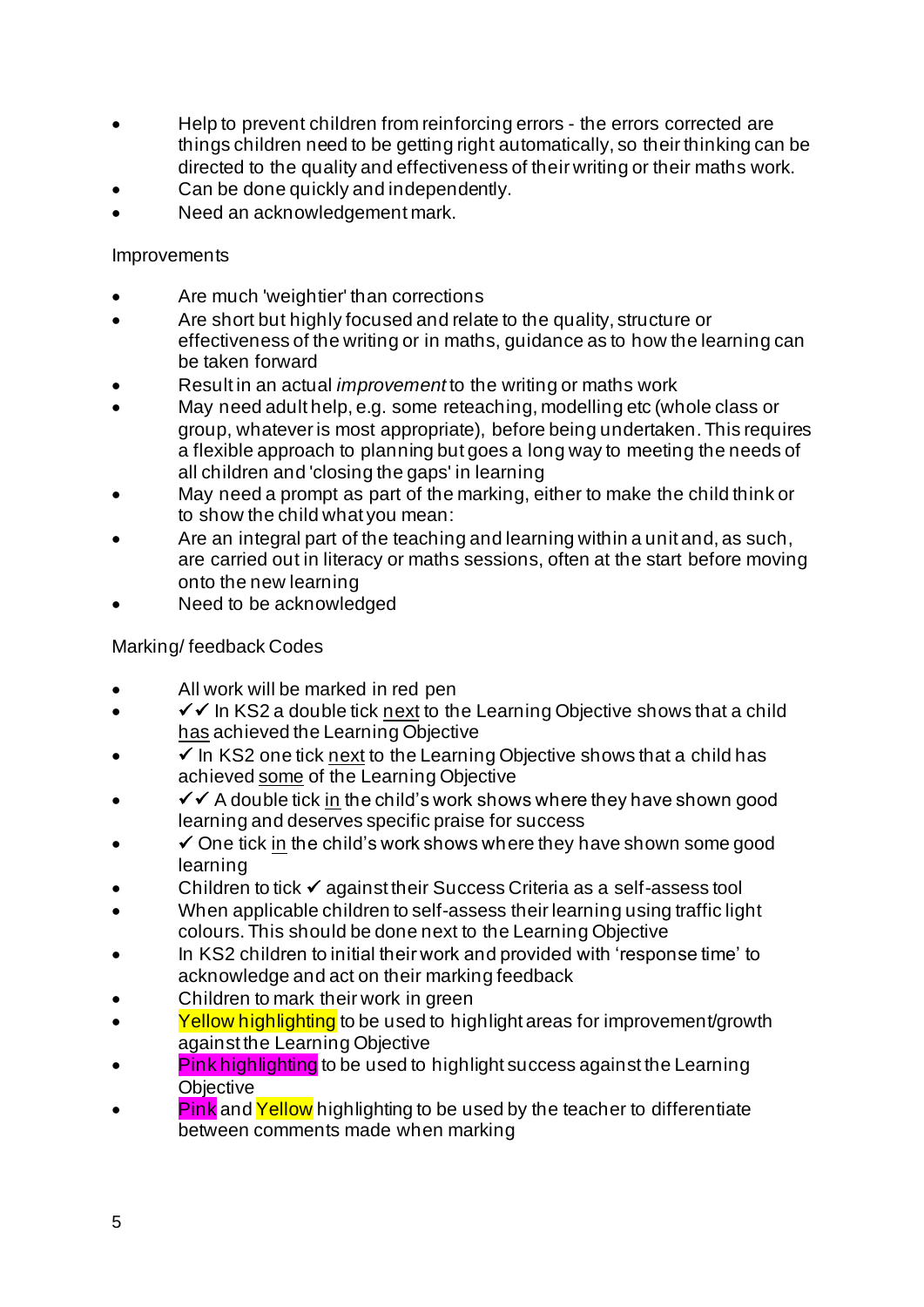- Help to prevent children from reinforcing errors the errors corrected are things children need to be getting right automatically, so their thinking can be directed to the quality and effectiveness of their writing or their maths work.
- Can be done quickly and independently.
- Need an acknowledgement mark.

# **Improvements**

- Are much 'weightier' than corrections
- Are short but highly focused and relate to the quality, structure or effectiveness of the writing or in maths, guidance as to how the learning can be taken forward
- Result in an actual *improvement* to the writing or maths work
- May need adult help, e.g. some reteaching, modelling etc (whole class or group, whatever is most appropriate), before being undertaken. This requires a flexible approach to planning but goes a long way to meeting the needs of all children and 'closing the gaps' in learning
- May need a prompt as part of the marking, either to make the child think or to show the child what you mean:
- Are an integral part of the teaching and learning within a unit and, as such, are carried out in literacy or maths sessions, often at the start before moving onto the new learning
- Need to be acknowledged

# Marking/ feedback Codes

- All work will be marked in red pen
- $\checkmark$  of the KS2 a double tick next to the Learning Objective shows that a child has achieved the Learning Objective
- $\checkmark$  In KS2 one tick next to the Learning Objective shows that a child has achieved some of the Learning Objective
- ✓✓ A double tick in the child's work shows where they have shown good learning and deserves specific praise for success
- $\checkmark$  One tick in the child's work shows where they have shown some good learning
- Children to tick ✓ against their Success Criteria as a self-assess tool
- When applicable children to self-assess their learning using traffic light colours. This should be done next to the Learning Objective
- In KS2 children to initial their work and provided with 'response time' to acknowledge and act on their marking feedback
- Children to mark their work in green
- Yellow highlighting to be used to highlight areas for improvement/growth against the Learning Objective
- **Pink highlighting** to be used to highlight success against the Learning **Objective**
- **Pink** and **Yellow** highlighting to be used by the teacher to differentiate between comments made when marking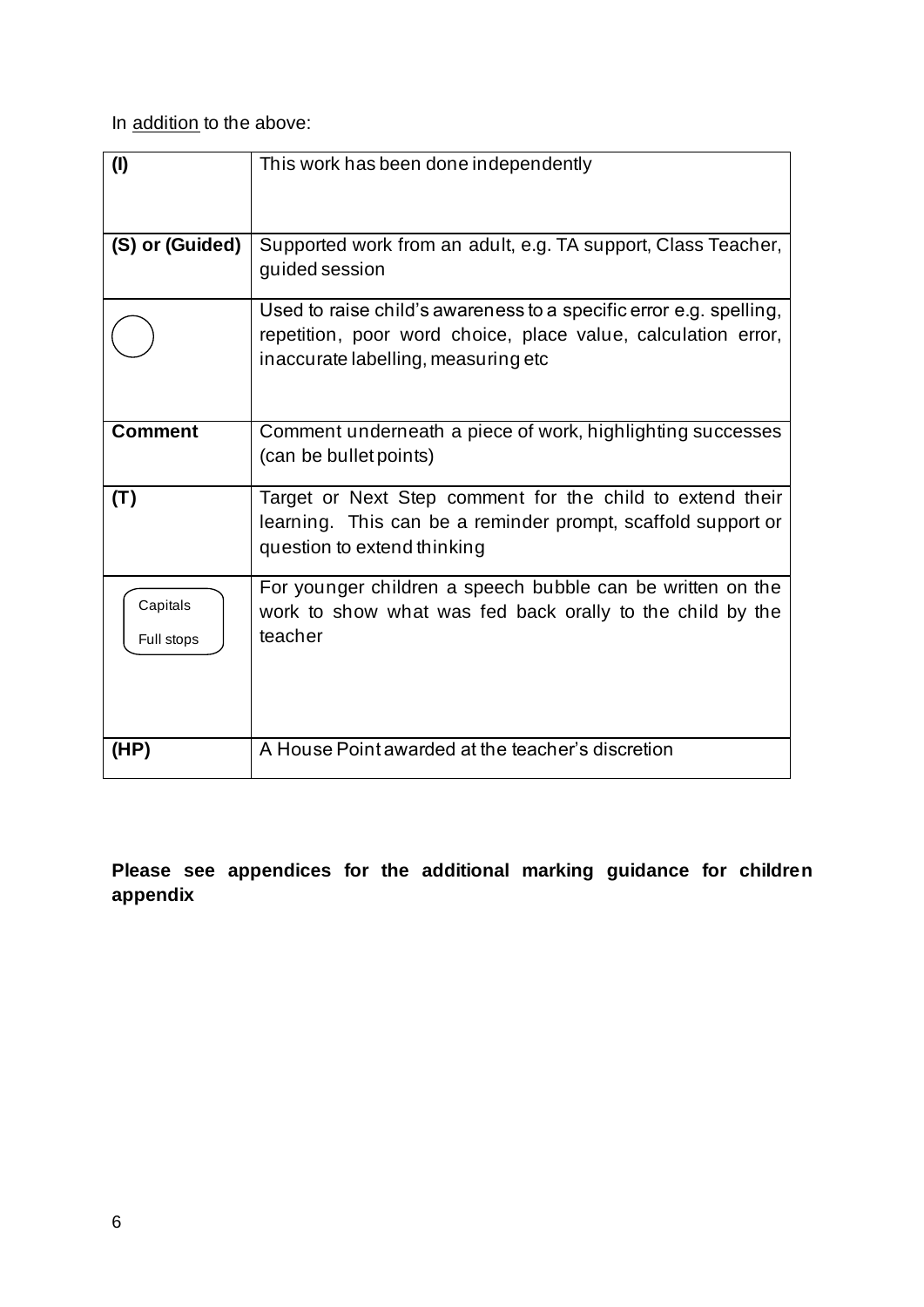In addition to the above:

| (1)                    | This work has been done independently                                                                                                                                      |  |
|------------------------|----------------------------------------------------------------------------------------------------------------------------------------------------------------------------|--|
|                        |                                                                                                                                                                            |  |
| (S) or (Guided)        | Supported work from an adult, e.g. TA support, Class Teacher,<br>guided session                                                                                            |  |
|                        | Used to raise child's awareness to a specific error e.g. spelling,<br>repetition, poor word choice, place value, calculation error,<br>inaccurate labelling, measuring etc |  |
| <b>Comment</b>         | Comment underneath a piece of work, highlighting successes<br>(can be bullet points)                                                                                       |  |
| (T)                    | Target or Next Step comment for the child to extend their<br>learning. This can be a reminder prompt, scaffold support or<br>question to extend thinking                   |  |
| Capitals<br>Full stops | For younger children a speech bubble can be written on the<br>work to show what was fed back orally to the child by the<br>teacher                                         |  |
| (HP)                   | A House Point awarded at the teacher's discretion                                                                                                                          |  |

**Please see appendices for the additional marking guidance for children appendix**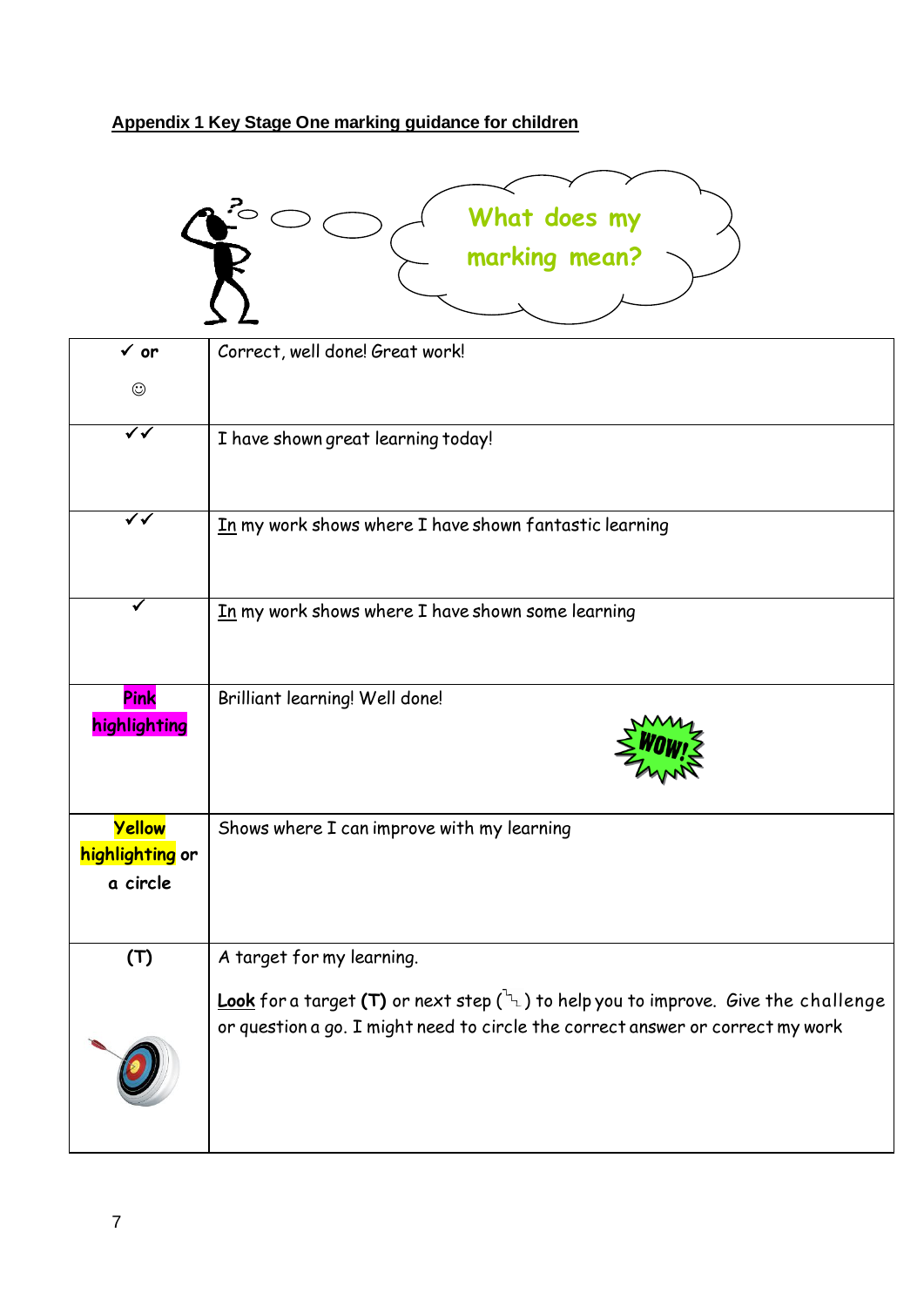# **Appendix 1 Key Stage One marking guidance for children**



| $\checkmark$ or                       | Correct, well done! Great work!                                                                                                                                                |
|---------------------------------------|--------------------------------------------------------------------------------------------------------------------------------------------------------------------------------|
| $\odot$                               |                                                                                                                                                                                |
| ✔✔                                    | I have shown great learning today!                                                                                                                                             |
| $\overline{\checkmark}$               | In my work shows where I have shown fantastic learning                                                                                                                         |
|                                       | In my work shows where I have shown some learning                                                                                                                              |
| Pink<br>highlighting                  | Brilliant learning! Well done!                                                                                                                                                 |
| Yellow<br>highlighting or<br>a circle | Shows where I can improve with my learning                                                                                                                                     |
| (T)                                   | A target for my learning.                                                                                                                                                      |
|                                       | Look for a target (T) or next step $\binom{L}{L}$ to help you to improve. Give the challenge<br>or question a go. I might need to circle the correct answer or correct my work |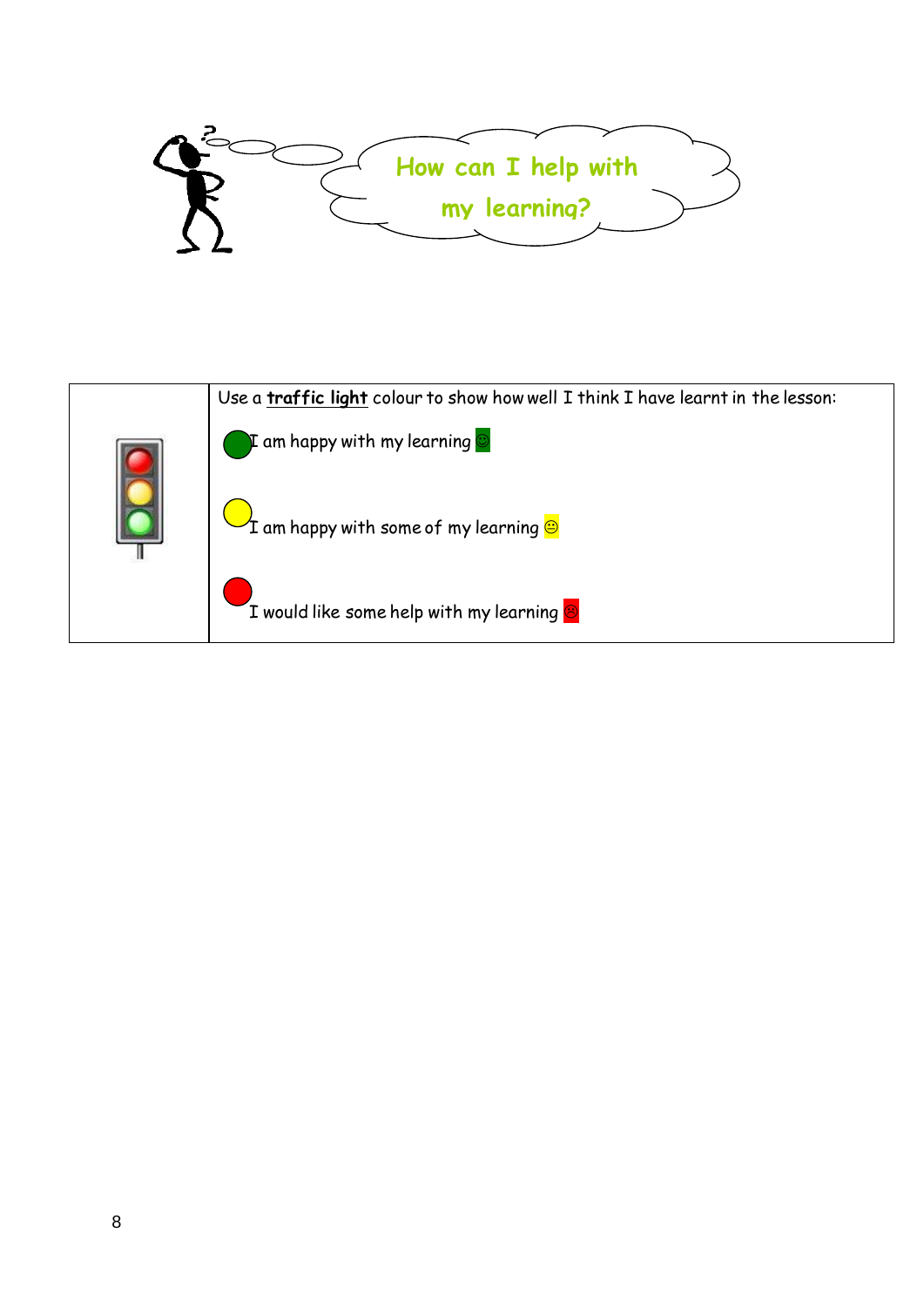

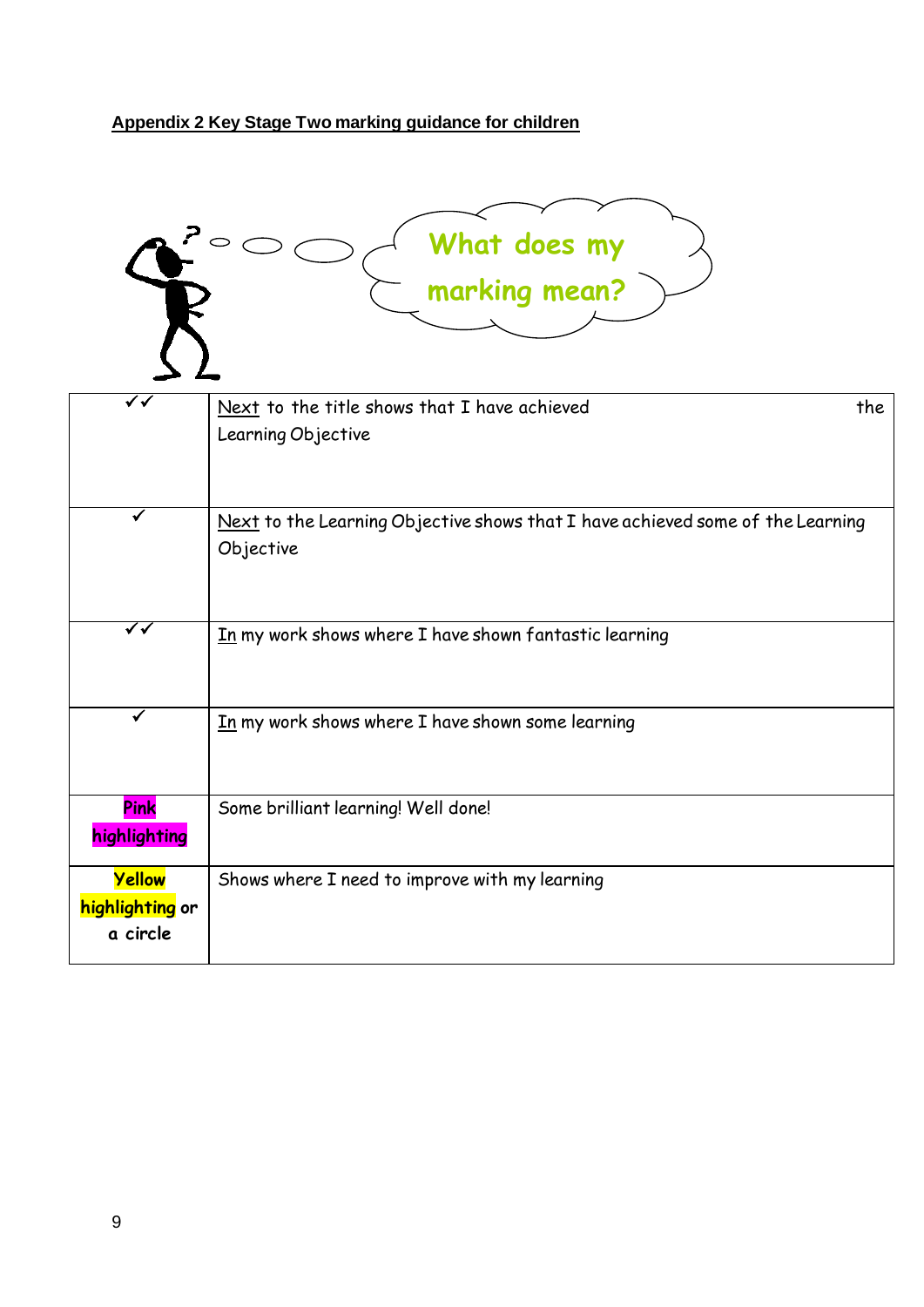# **Appendix 2 Key Stage Two marking guidance for children**

| What does my<br>marking mean?         |                                                                                             |  |  |  |
|---------------------------------------|---------------------------------------------------------------------------------------------|--|--|--|
| ✓√                                    | Next to the title shows that I have achieved<br>the<br>Learning Objective                   |  |  |  |
|                                       | Next to the Learning Objective shows that I have achieved some of the Learning<br>Objective |  |  |  |
| ✓✓                                    | In my work shows where I have shown fantastic learning                                      |  |  |  |
| ✓                                     | In my work shows where I have shown some learning                                           |  |  |  |
| Pink<br>highlighting                  | Some brilliant learning! Well done!                                                         |  |  |  |
| Yellow<br>highlighting or<br>a circle | Shows where I need to improve with my learning                                              |  |  |  |

 $\overline{\phantom{0}}$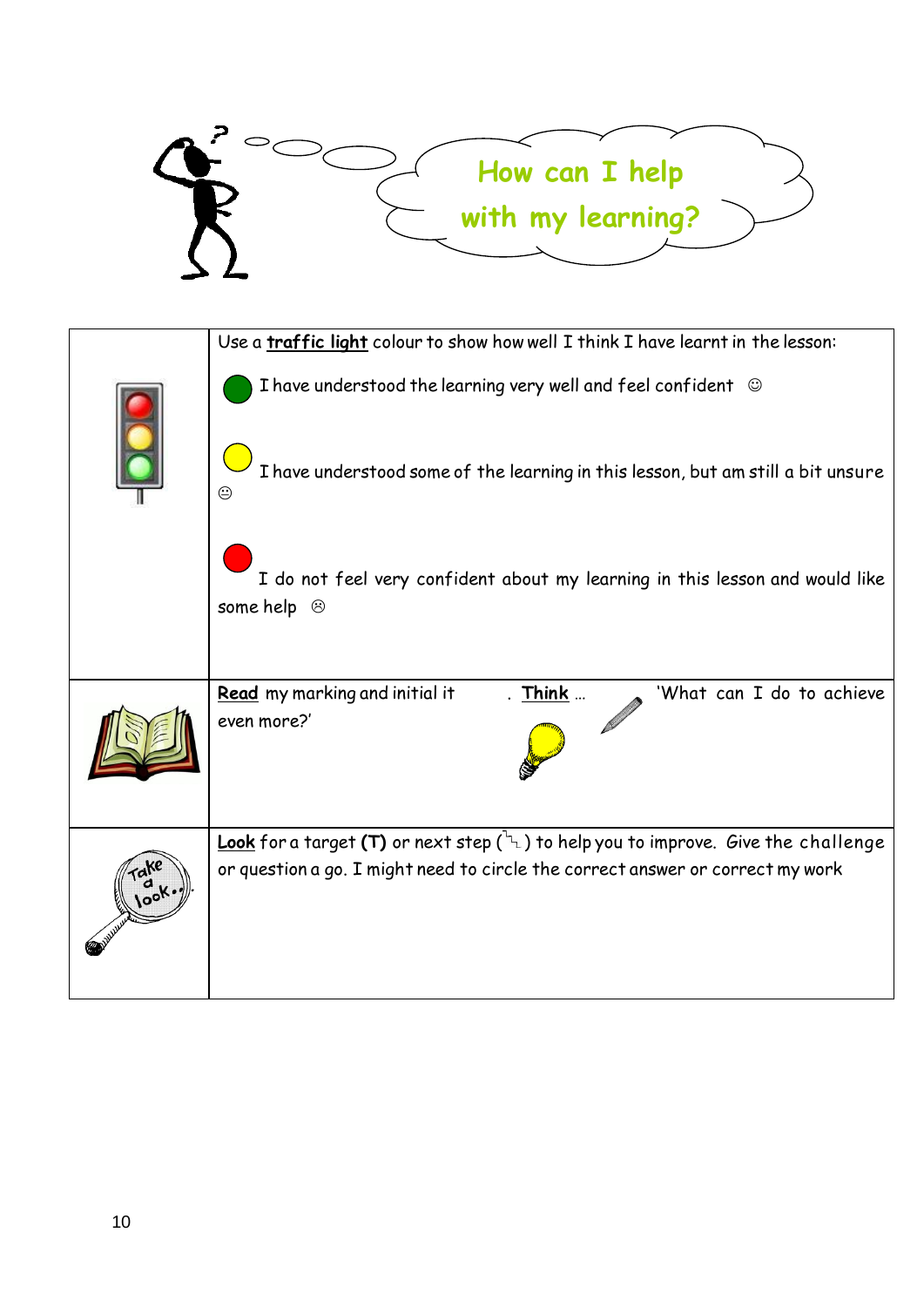

|  | Use a traffic light colour to show how well I think I have learnt in the lesson:                                                                                                   |
|--|------------------------------------------------------------------------------------------------------------------------------------------------------------------------------------|
|  | I have understood the learning very well and feel confident $\circledcirc$                                                                                                         |
|  | I have understood some of the learning in this lesson, but am still a bit unsure<br>☺                                                                                              |
|  | I do not feel very confident about my learning in this lesson and would like<br>some help $\odot$                                                                                  |
|  | 'What can I do to achieve<br>Read my marking and initial it<br>Think<br>even more?'                                                                                                |
|  | <b>Look</b> for a target (T) or next step $(\lambda)$ to help you to improve. Give the challenge<br>or question a go. I might need to circle the correct answer or correct my work |